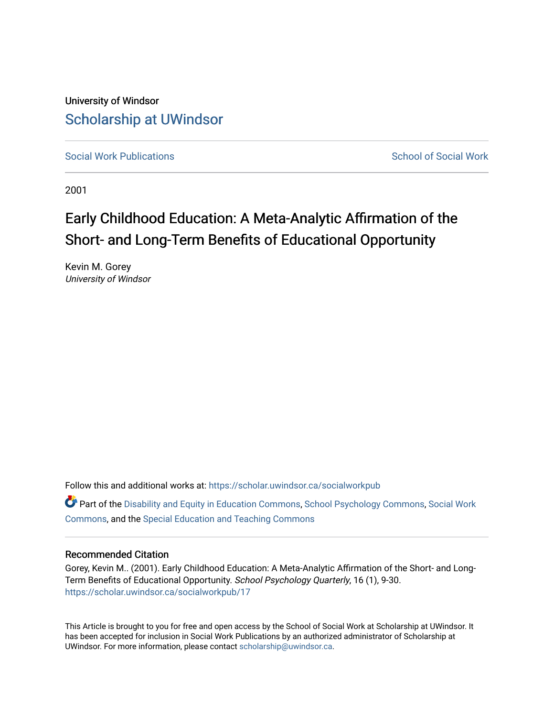University of Windsor [Scholarship at UWindsor](https://scholar.uwindsor.ca/) 

[Social Work Publications](https://scholar.uwindsor.ca/socialworkpub) **[School of Social Work](https://scholar.uwindsor.ca/socialwork) Publications** School of Social Work

2001

# Early Childhood Education: A Meta-Analytic Affirmation of the Short- and Long-Term Benefits of Educational Opportunity

Kevin M. Gorey University of Windsor

Follow this and additional works at: [https://scholar.uwindsor.ca/socialworkpub](https://scholar.uwindsor.ca/socialworkpub?utm_source=scholar.uwindsor.ca%2Fsocialworkpub%2F17&utm_medium=PDF&utm_campaign=PDFCoverPages) 

Part of the [Disability and Equity in Education Commons](http://network.bepress.com/hgg/discipline/1040?utm_source=scholar.uwindsor.ca%2Fsocialworkpub%2F17&utm_medium=PDF&utm_campaign=PDFCoverPages), [School Psychology Commons](http://network.bepress.com/hgg/discipline/1072?utm_source=scholar.uwindsor.ca%2Fsocialworkpub%2F17&utm_medium=PDF&utm_campaign=PDFCoverPages), [Social Work](http://network.bepress.com/hgg/discipline/713?utm_source=scholar.uwindsor.ca%2Fsocialworkpub%2F17&utm_medium=PDF&utm_campaign=PDFCoverPages) [Commons](http://network.bepress.com/hgg/discipline/713?utm_source=scholar.uwindsor.ca%2Fsocialworkpub%2F17&utm_medium=PDF&utm_campaign=PDFCoverPages), and the [Special Education and Teaching Commons](http://network.bepress.com/hgg/discipline/801?utm_source=scholar.uwindsor.ca%2Fsocialworkpub%2F17&utm_medium=PDF&utm_campaign=PDFCoverPages) 

## Recommended Citation

Gorey, Kevin M.. (2001). Early Childhood Education: A Meta-Analytic Affirmation of the Short- and Long-Term Benefits of Educational Opportunity. School Psychology Quarterly, 16 (1), 9-30. [https://scholar.uwindsor.ca/socialworkpub/17](https://scholar.uwindsor.ca/socialworkpub/17?utm_source=scholar.uwindsor.ca%2Fsocialworkpub%2F17&utm_medium=PDF&utm_campaign=PDFCoverPages) 

This Article is brought to you for free and open access by the School of Social Work at Scholarship at UWindsor. It has been accepted for inclusion in Social Work Publications by an authorized administrator of Scholarship at UWindsor. For more information, please contact [scholarship@uwindsor.ca](mailto:scholarship@uwindsor.ca).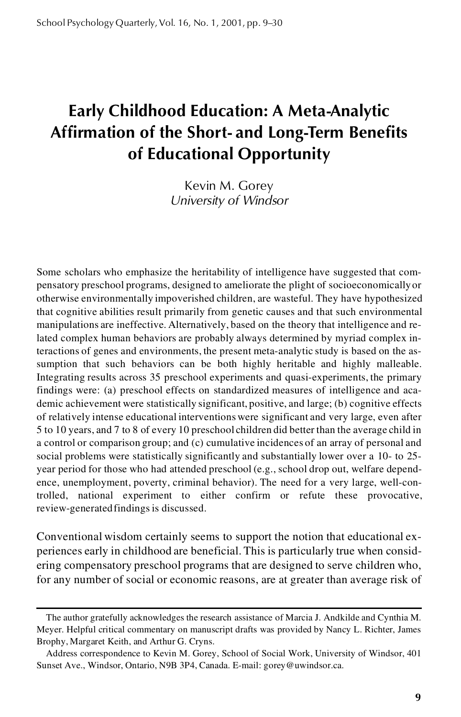## **Early Childhood Education: A Meta-Analytic Affirmation of the Short- and Long-Term Benefits of Educational Opportunity**

Kevin M. Gorey *University of Windsor*

Some scholars who emphasize the heritability of intelligence have suggested that com pensatory preschool programs, designed to ameliorate the plight of socioeconomically or otherwise environmentally impoverished children, are wasteful. They have hypothesized that cognitive abilities result primarily from genetic causes and that such environmental manipulations are ineffective. Alternatively, based on the theory that intelligence and related complex human behaviors are probably always determined by myriad complex interactions of genes and environments, the present meta-analytic study is based on the assumption that such behaviors can be both highly heritable and highly malleable. Integrating results across 35 preschool experiments and quasi-experiments, the primary findings were: (a) preschool effects on standardized measures of intelligence and aca demic achievement were statistically significant, positive, and large; (b) cognitive effects of relatively intense educational interventions were significant and very large, even after 5 to 10 years, and 7 to 8 of every 10 preschool children did better than the average child in a control or comparison group; and (c) cumulative incidences of an array of personal and social problems were statistically significantly and substantially lower over a 10- to 25 year period for those who had attended preschool (e.g., school drop out, welfare dependence, unemployment, poverty, criminal behavior). The need for a very large, well-controlled, national experiment to either confirm or refute these provocative, review-generated findings is discussed.

Conventional wisdom certainly seems to support the notion that educational experiences early in childhood are beneficial. This is particularly true when considering compensatory preschool programs that are designed to serve children who, for any number of social or economic reasons, are at greater than average risk of

The author gratefully acknowledges the research assistance of Marcia J. Andkilde and Cynthia M. Meyer. Helpful critical commentary on manuscript drafts was provided by Nancy L. Richter, James Brophy, Margaret Keith, and Arthur G. Cryns.

Address correspondence to Kevin M. Gorey, School of Social Work, University of Windsor, 401 Sunset Ave., Windsor, Ontario, N9B 3P4, Canada. E-mail: gorey@uwindsor.ca.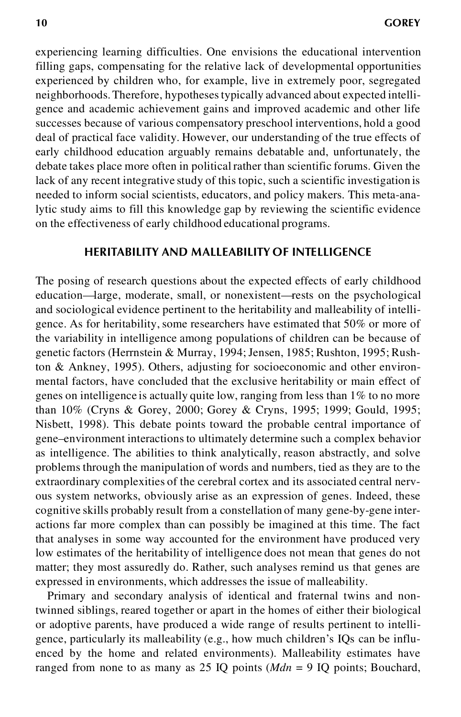experiencing learning difficulties. One envisions the educational intervention filling gaps, compensating for the relative lack of developmental opportunities experienced by children who, for example, live in extremely poor, segregated neighborhoods. Therefore, hypotheses typically advanced about expected intelligence and academic achievement gains and improved academic and other life successes because of various compensatory preschool interventions, hold a good deal of practical face validity. However, our understanding of the true effects of early childhood education arguably remains debatable and, unfortunately, the debate takes place more often in political rather than scientific forums. Given the lack of any recent integrative study of this topic, such a scientific investigation is needed to inform social scientists, educators, and policy makers. This meta-analytic study aims to fill this knowledge gap by reviewing the scientific evidence on the effectiveness of early childhood educational programs.

## **HERITABILITY AND MALLEABILITY OF INTELLIGENCE**

The posing of research questions about the expected effects of early childhood education—large, moderate, small, or nonexistent—rests on the psychological and sociological evidence pertinent to the heritability and malleability of intelligence. As for heritability, some researchers have estimated that 50% or more of the variability in intelligence among populations of children can be because of genetic factors (Herrnstein & Murray, 1994; Jensen, 1985; Rushton, 1995; Rushton & Ankney, 1995). Others, adjusting for socioeconomic and other environmental factors, have concluded that the exclusive heritability or main effect of genes on intelligence is actually quite low, ranging from less than 1% to no more than 10% (Cryns & Gorey, 2000; Gorey & Cryns, 1995; 1999; Gould, 1995; Nisbett, 1998). This debate points toward the probable central importance of gene–environment interactions to ultimately determine such a complex behavior as intelligence. The abilities to think analytically, reason abstractly, and solve problems through the manipulation of words and numbers, tied as they are to the extraordinary complexities of the cerebral cortex and its associated central nervous system networks, obviously arise as an expression of genes. Indeed, these cognitive skills probably result from a constellation of many gene-by-gene interactions far more complex than can possibly be imagined at this time. The fact that analyses in some way accounted for the environment have produced very low estimates of the heritability of intelligence does not mean that genes do not matter; they most assuredly do. Rather, such analyses remind us that genes are expressed in environments, which addresses the issue of malleability.

Primary and secondary analysis of identical and fraternal twins and nontwinned siblings, reared together or apart in the homes of either their biological or adoptive parents, have produced a wide range of results pertinent to intelligence, particularly its malleability (e.g., how much children's IQs can be influenced by the home and related environments). Malleability estimates have ranged from none to as many as 25 IQ points (*Mdn* = 9 IQ points; Bouchard,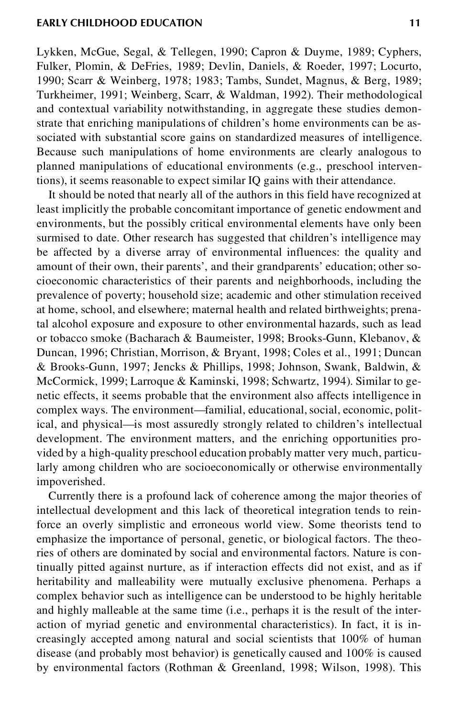Lykken, McGue, Segal, & Tellegen, 1990; Capron & Duyme, 1989; Cyphers, Fulker, Plomin, & DeFries, 1989; Devlin, Daniels, & Roeder, 1997; Locurto, 1990; Scarr & Weinberg, 1978; 1983; Tambs, Sundet, Magnus, & Berg, 1989; Turkheimer, 1991; Weinberg, Scarr, & Waldman, 1992). Their methodological and contextual variability notwithstanding, in aggregate these studies demonstrate that enriching manipulations of children's home environments can be associated with substantial score gains on standardized measures of intelligence. Because such manipulations of home environments are clearly analogous to planned manipulations of educational environments (e.g., preschool interventions), it seems reasonable to expect similar IQ gains with their attendance.

It should be noted that nearly all of the authors in this field have recognized at least implicitly the probable concomitant importance of genetic endowment and environments, but the possibly critical environmental elements have only been surmised to date. Other research has suggested that children's intelligence may be affected by a diverse array of environmental influences: the quality and amount of their own, their parents', and their grandparents' education; other socioeconomic characteristics of their parents and neighborhoods, including the prevalence of poverty; household size; academic and other stimulation received at home, school, and elsewhere; maternal health and related birthweights; prenatal alcohol exposure and exposure to other environmental hazards, such as lead or tobacco smoke (Bacharach & Baumeister, 1998; Brooks-Gunn, Klebanov, & Duncan, 1996; Christian, Morrison, & Bryant, 1998; Coles et al., 1991; Duncan & Brooks-Gunn, 1997; Jencks & Phillips, 1998; Johnson, Swank, Baldwin, & McCormick, 1999; Larroque & Kaminski, 1998; Schwartz, 1994). Similar to genetic effects, it seems probable that the environment also affects intelligence in complex ways. The environment—familial, educational, social, economic, political, and physical—is most assuredly strongly related to children's intellectual development. The environment matters, and the enriching opportunities provided by a high-quality preschool education probably matter very much, particularly among children who are socioeconomically or otherwise environmentally impoverished.

Currently there is a profound lack of coherence among the major theories of intellectual development and this lack of theoretical integration tends to reinforce an overly simplistic and erroneous world view. Some theorists tend to emphasize the importance of personal, genetic, or biological factors. The theories of others are dominated by social and environmental factors. Nature is continually pitted against nurture, as if interaction effects did not exist, and as if heritability and malleability were mutually exclusive phenomena. Perhaps a complex behavior such as intelligence can be understood to be highly heritable and highly malleable at the same time (i.e., perhaps it is the result of the interaction of myriad genetic and environmental characteristics). In fact, it is increasingly accepted among natural and social scientists that 100% of human disease (and probably most behavior) is genetically caused and 100% is caused by environmental factors (Rothman & Greenland, 1998; Wilson, 1998). This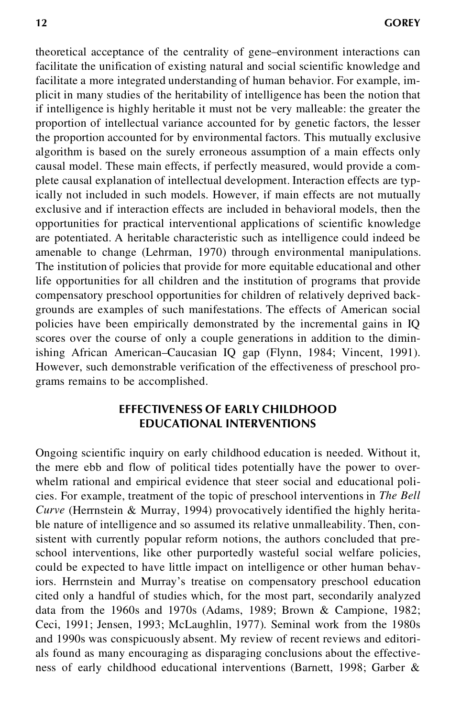theoretical acceptance of the centrality of gene–environment interactions can facilitate the unification of existing natural and social scientific knowledge and facilitate a more integrated understanding of human behavior. For example, implicit in many studies of the heritability of intelligence has been the notion that if intelligence is highly heritable it must not be very malleable: the greater the proportion of intellectual variance accounted for by genetic factors, the lesser the proportion accounted for by environmental factors. This mutually exclusive algorithm is based on the surely erroneous assumption of a main effects only causal model. These main effects, if perfectly measured, would provide a complete causal explanation of intellectual development. Interaction effects are typically not included in such models. However, if main effects are not mutually exclusive and if interaction effects are included in behavioral models, then the opportunities for practical interventional applications of scientific knowledge are potentiated. A heritable characteristic such as intelligence could indeed be amenable to change (Lehrman, 1970) through environmental manipulations. The institution of policies that provide for more equitable educational and other life opportunities for all children and the institution of programs that provide compensatory preschool opportunities for children of relatively deprived backgrounds are examples of such manifestations. The effects of American social policies have been empirically demonstrated by the incremental gains in IQ scores over the course of only a couple generations in addition to the diminishing African American–Caucasian IQ gap (Flynn, 1984; Vincent, 1991). However, such demonstrable verification of the effectiveness of preschool programs remains to be accomplished.

## **EFFECTIVENESS OF EARLY CHILDHOOD EDUCATIONAL INTERVENTIONS**

Ongoing scientific inquiry on early childhood education is needed. Without it, the mere ebb and flow of political tides potentially have the power to overwhelm rational and empirical evidence that steer social and educational policies. For example, treatment of the topic of preschool interventions in *The Bell Curve* (Herrnstein & Murray, 1994) provocatively identified the highly heritable nature of intelligence and so assumed its relative unmalleability. Then, consistent with currently popular reform notions, the authors concluded that preschool interventions, like other purportedly wasteful social welfare policies, could be expected to have little impact on intelligence or other human behaviors. Herrnstein and Murray's treatise on compensatory preschool education cited only a handful of studies which, for the most part, secondarily analyzed data from the 1960s and 1970s (Adams, 1989; Brown & Campione, 1982; Ceci, 1991; Jensen, 1993; McLaughlin, 1977). Seminal work from the 1980s and 1990s was conspicuously absent. My review of recent reviews and editorials found as many encouraging as disparaging conclusions about the effectiveness of early childhood educational interventions (Barnett, 1998; Garber &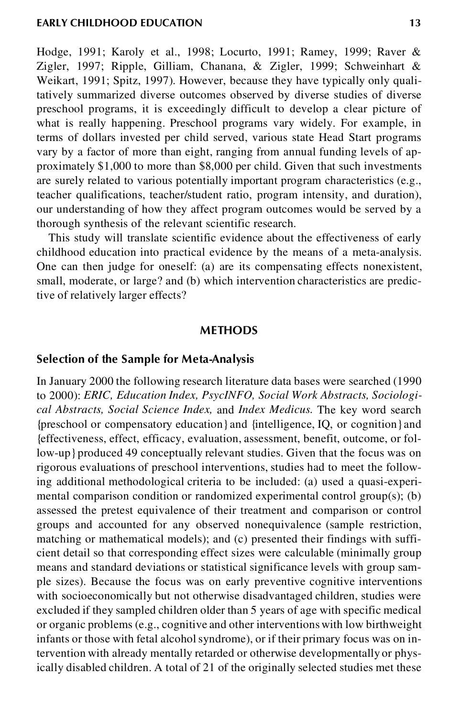Hodge, 1991; Karoly et al., 1998; Locurto, 1991; Ramey, 1999; Raver & Zigler, 1997; Ripple, Gilliam, Chanana, & Zigler, 1999; Schweinhart & Weikart, 1991; Spitz, 1997). However, because they have typically only qualitatively summarized diverse outcomes observed by diverse studies of diverse preschool programs, it is exceedingly difficult to develop a clear picture of what is really happening. Preschool programs vary widely. For example, in terms of dollars invested per child served, various state Head Start programs vary by a factor of more than eight, ranging from annual funding levels of approximately \$1,000 to more than \$8,000 per child. Given that such investments are surely related to various potentially important program characteristics (e.g., teacher qualifications, teacher/student ratio, program intensity, and duration), our understanding of how they affect program outcomes would be served by a thorough synthesis of the relevant scientific research.

This study will translate scientific evidence about the effectiveness of early childhood education into practical evidence by the means of a meta-analysis. One can then judge for oneself: (a) are its compensating effects nonexistent, small, moderate, or large? and (b) which intervention characteristics are predictive of relatively larger effects?

## **METHODS**

## **Selection of the Sample for Meta-Analysis**

In January 2000 the following research literature data bases were searched (1990 to 2000): *ERIC, Education Index, PsycINFO, Social Work Abstracts, Sociological Abstracts, Social Science Index,* and *Index Medicus.* The key word search {preschool or compensatory education}and {intelligence, IQ, or cognition}and {effectiveness, effect, efficacy, evaluation, assessment, benefit, outcome, or follow-up}produced 49 conceptually relevant studies. Given that the focus was on rigorous evaluations of preschool interventions, studies had to meet the following additional methodological criteria to be included: (a) used a quasi-experimental comparison condition or randomized experimental control group(s); (b) assessed the pretest equivalence of their treatment and comparison or control groups and accounted for any observed nonequivalence (sample restriction, matching or mathematical models); and (c) presented their findings with sufficient detail so that corresponding effect sizes were calculable (minimally group means and standard deviations or statistical significance levels with group sample sizes). Because the focus was on early preventive cognitive interventions with socioeconomically but not otherwise disadvantaged children, studies were excluded if they sampled children older than 5 years of age with specific medical or organic problems (e.g., cognitive and other interventions with low birthweight infants or those with fetal alcohol syndrome), or if their primary focus was on intervention with already mentally retarded or otherwise developmentally or physically disabled children. A total of 21 of the originally selected studies met these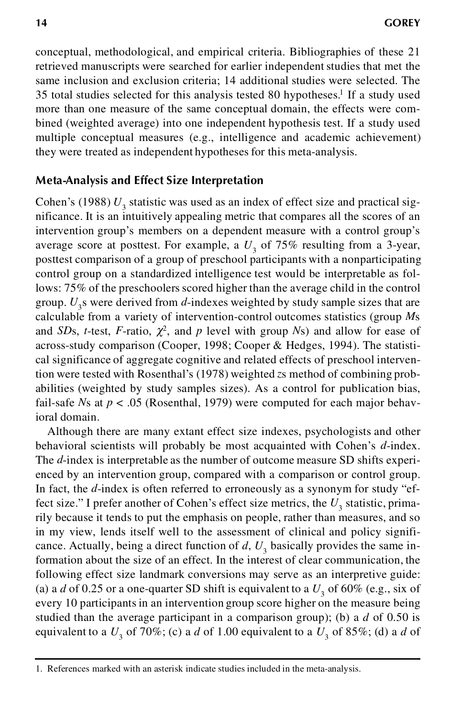conceptual, methodological, and empirical criteria. Bibliographies of these 21 retrieved manuscripts were searched for earlier independent studies that met the same inclusion and exclusion criteria; 14 additional studies were selected. The 35 total studies selected for this analysis tested 80 hypotheses.<sup>1</sup> If a study used more than one measure of the same conceptual domain, the effects were combined (weighted average) into one independent hypothesis test. If a study used multiple conceptual measures (e.g., intelligence and academic achievement) they were treated as independent hypotheses for this meta-analysis.

## **Meta-Analysis and Effect Size Interpretation**

Cohen's (1988)  $U_3$  statistic was used as an index of effect size and practical significance. It is an intuitively appealing metric that compares all the scores of an intervention group's members on a dependent measure with a control group's average score at posttest. For example, a  $U_3$  of 75% resulting from a 3-year, posttest comparison of a group of preschool participants with a nonparticipating control group on a standardized intelligence test would be interpretable as follows: 75% of the preschoolers scored higher than the average child in the control group.  $U_3$ s were derived from  $d$ -indexes weighted by study sample sizes that are calculable from a variety of intervention-control outcomes statistics (group *M*s and *SDs*, *t*-test, *F*-ratio,  $\chi^2$ , and *p* level with group *Ns*) and allow for ease of across-study comparison (Cooper, 1998; Cooper & Hedges, 1994). The statistical significance of aggregate cognitive and related effects of preschool intervention were tested with Rosenthal's (1978) weighted *z*s method of combining probabilities (weighted by study samples sizes). As a control for publication bias, fail-safe *N*s at *p* < .05 (Rosenthal, 1979) were computed for each major behavioral domain.

Although there are many extant effect size indexes, psychologists and other behavioral scientists will probably be most acquainted with Cohen's *d*-index. The *d*-index is interpretable as the number of outcome measure SD shifts experienced by an intervention group, compared with a comparison or control group. In fact, the *d*-index is often referred to erroneously as a synonym for study "effect size." I prefer another of Cohen's effect size metrics, the  $U_2$  statistic, primarily because it tends to put the emphasis on people, rather than measures, and so in my view, lends itself well to the assessment of clinical and policy significance. Actually, being a direct function of  $d$ ,  $U_3$  basically provides the same information about the size of an effect. In the interest of clear communication, the following effect size landmark conversions may serve as an interpretive guide: (a) a *d* of 0.25 or a one-quarter SD shift is equivalent to a  $U_3$  of 60% (e.g., six of every 10 participants in an intervention group score higher on the measure being studied than the average participant in a comparison group); (b) a *d* of 0.50 is equivalent to a  $U_3$  of 70%; (c) a *d* of 1.00 equivalent to a  $U_3$  of 85%; (d) a *d* of

<sup>1.</sup> References marked with an asterisk indicate studies included in the meta-analysis.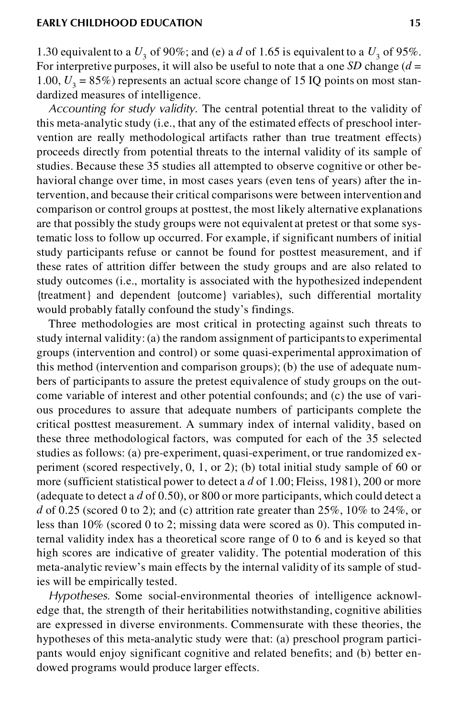1.30 equivalent to a  $U_2$  of 90%; and (e) a *d* of 1.65 is equivalent to a  $U_2$  of 95%. For interpretive purposes, it will also be useful to note that a one *SD* change  $(d =$ 1.00,  $U_2 = 85\%$ ) represents an actual score change of 15 IQ points on most standardized measures of intelligence.

*Accounting for study validity.* The central potential threat to the validity of this meta-analytic study (i.e., that any of the estimated effects of preschool intervention are really methodological artifacts rather than true treatment effects) proceeds directly from potential threats to the internal validity of its sample of studies. Because these 35 studies all attempted to observe cognitive or other behavioral change over time, in most cases years (even tens of years) after the intervention, and because their critical comparisons were between intervention and comparison or control groups at posttest, the most likely alternative explanations are that possibly the study groups were not equivalent at pretest or that some systematic loss to follow up occurred. For example, if significant numbers of initial study participants refuse or cannot be found for posttest measurement, and if these rates of attrition differ between the study groups and are also related to study outcomes (i.e., mortality is associated with the hypothesized independent {treatment} and dependent {outcome} variables), such differential mortality would probably fatally confound the study's findings.

Three methodologies are most critical in protecting against such threats to study internal validity: (a) the random assignment of participants to experimental groups (intervention and control) or some quasi-experimental approximation of this method (intervention and comparison groups); (b) the use of adequate numbers of participants to assure the pretest equivalence of study groups on the outcome variable of interest and other potential confounds; and (c) the use of various procedures to assure that adequate numbers of participants complete the critical posttest measurement. A summary index of internal validity, based on these three methodological factors, was computed for each of the 35 selected studies as follows: (a) pre-experiment, quasi-experiment, or true randomized experiment (scored respectively, 0, 1, or 2); (b) total initial study sample of 60 or more (sufficient statistical power to detect a *d* of 1.00; Fleiss, 1981), 200 or more (adequate to detect a *d* of 0.50), or 800 or more participants, which could detect a *d* of 0.25 (scored 0 to 2); and (c) attrition rate greater than 25%, 10% to 24%, or less than 10% (scored 0 to 2; missing data were scored as 0). This computed internal validity index has a theoretical score range of 0 to 6 and is keyed so that high scores are indicative of greater validity. The potential moderation of this meta-analytic review's main effects by the internal validity of its sample of studies will be empirically tested.

*Hypotheses.* Some social-environmental theories of intelligence acknowledge that, the strength of their heritabilities notwithstanding, cognitive abilities are expressed in diverse environments. Commensurate with these theories, the hypotheses of this meta-analytic study were that: (a) preschool program participants would enjoy significant cognitive and related benefits; and (b) better endowed programs would produce larger effects.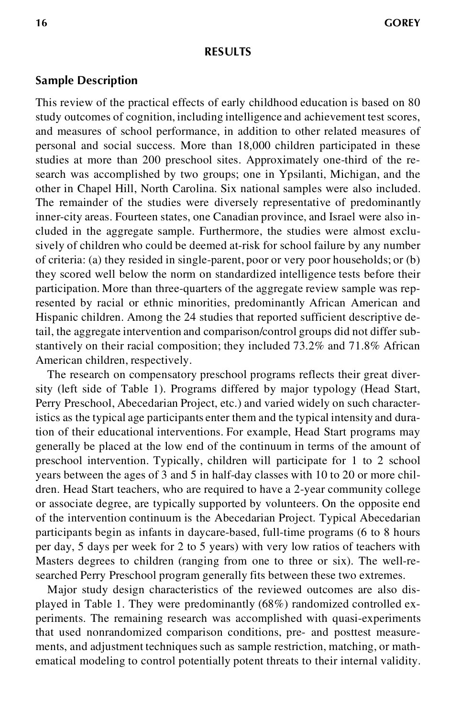## **RESULTS**

## **Sample Description**

This review of the practical effects of early childhood education is based on 80 study outcomes of cognition, including intelligence and achievement test scores, and measures of school performance, in addition to other related measures of personal and social success. More than 18,000 children participated in these studies at more than 200 preschool sites. Approximately one-third of the research was accomplished by two groups; one in Ypsilanti, Michigan, and the other in Chapel Hill, North Carolina. Six national samples were also included. The remainder of the studies were diversely representative of predominantly inner-city areas. Fourteen states, one Canadian province, and Israel were also included in the aggregate sample. Furthermore, the studies were almost exclusively of children who could be deemed at-risk for school failure by any number of criteria: (a) they resided in single-parent, poor or very poor households; or (b) they scored well below the norm on standardized intelligence tests before their participation. More than three-quarters of the aggregate review sample was represented by racial or ethnic minorities, predominantly African American and Hispanic children. Among the 24 studies that reported sufficient descriptive detail, the aggregate intervention and comparison/control groups did not differ substantively on their racial composition; they included 73.2% and 71.8% African American children, respectively.

The research on compensatory preschool programs reflects their great diversity (left side of Table 1). Programs differed by major typology (Head Start, Perry Preschool, Abecedarian Project, etc.) and varied widely on such characteristics as the typical age participants enter them and the typical intensity and duration of their educational interventions. For example, Head Start programs may generally be placed at the low end of the continuum in terms of the amount of preschool intervention. Typically, children will participate for 1 to 2 school years between the ages of 3 and 5 in half-day classes with 10 to 20 or more children. Head Start teachers, who are required to have a 2-year community college or associate degree, are typically supported by volunteers. On the opposite end of the intervention continuum is the Abecedarian Project. Typical Abecedarian participants begin as infants in daycare-based, full-time programs (6 to 8 hours per day, 5 days per week for 2 to 5 years) with very low ratios of teachers with Masters degrees to children (ranging from one to three or six). The well-researched Perry Preschool program generally fits between these two extremes.

Major study design characteristics of the reviewed outcomes are also displayed in Table 1. They were predominantly (68%) randomized controlled experiments. The remaining research was accomplished with quasi-experiments that used nonrandomized comparison conditions, pre- and posttest measurements, and adjustment techniques such as sample restriction, matching, or mathematical modeling to control potentially potent threats to their internal validity.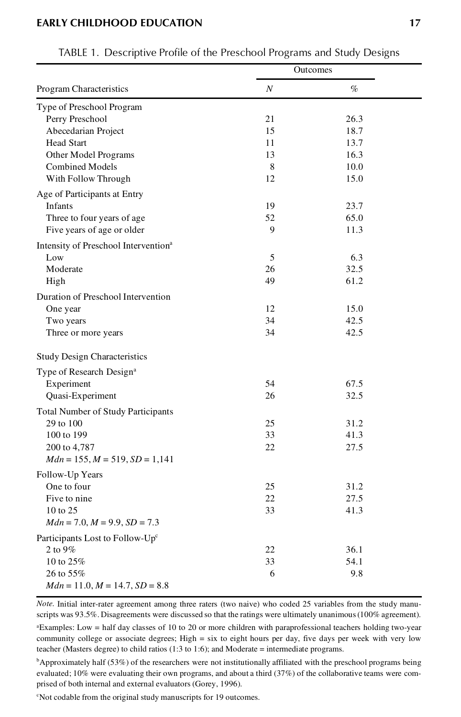|                                                  |                  | Outcomes |  |
|--------------------------------------------------|------------------|----------|--|
|                                                  |                  |          |  |
| Program Characteristics                          | $\boldsymbol{N}$ | $\%$     |  |
| Type of Preschool Program                        |                  |          |  |
| Perry Preschool                                  | 21               | 26.3     |  |
| Abecedarian Project                              | 15               | 18.7     |  |
| <b>Head Start</b>                                | 11               | 13.7     |  |
| Other Model Programs                             | 13               | 16.3     |  |
| <b>Combined Models</b>                           | 8                | 10.0     |  |
| With Follow Through                              | 12               | 15.0     |  |
| Age of Participants at Entry                     |                  |          |  |
| Infants                                          | 19               | 23.7     |  |
| Three to four years of age                       | 52               | 65.0     |  |
| Five years of age or older                       | 9                | 11.3     |  |
| Intensity of Preschool Intervention <sup>a</sup> |                  |          |  |
| Low                                              | 5                | 6.3      |  |
| Moderate                                         | 26               | 32.5     |  |
| High                                             | 49               | 61.2     |  |
| Duration of Preschool Intervention               |                  |          |  |
| One year                                         | 12               | 15.0     |  |
| Two years                                        | 34               | 42.5     |  |
| Three or more years                              | 34               | 42.5     |  |
| <b>Study Design Characteristics</b>              |                  |          |  |
| Type of Research Design <sup>a</sup>             |                  |          |  |
| Experiment                                       | 54               | 67.5     |  |
| Quasi-Experiment                                 | 26               | 32.5     |  |
| <b>Total Number of Study Participants</b>        |                  |          |  |
| 29 to 100                                        | 25               | 31.2     |  |
| 100 to 199                                       | 33               | 41.3     |  |
| 200 to 4,787                                     | 22               | 27.5     |  |
| $Mdn = 155, M = 519, SD = 1,141$                 |                  |          |  |
| Follow-Up Years                                  |                  |          |  |
| One to four                                      | 25               | 31.2     |  |
| Five to nine                                     | 22               | 27.5     |  |
| 10 to 25                                         | 33               | 41.3     |  |
| $Mdn = 7.0, M = 9.9, SD = 7.3$                   |                  |          |  |
| Participants Lost to Follow-Upc                  |                  |          |  |
| 2 to $9\%$                                       | 22               | 36.1     |  |
| 10 to 25%                                        | 33               | 54.1     |  |
| 26 to 55%                                        | 6                | 9.8      |  |
| $Mdn = 11.0, M = 14.7, SD = 8.8$                 |                  |          |  |

#### TABLE 1. Descriptive Profile of the Preschool Programs and Study Designs

*Note.* Initial inter-rater agreement among three raters (two naive) who coded 25 variables from the study manuscripts was 93.5%. Disagreements were discussed so that the ratings were ultimately unanimous (100% agreement).

<sup>a</sup>Examples: Low = half day classes of 10 to 20 or more children with paraprofessional teachers holding two-year community college or associate degrees; High = six to eight hours per day, five days per week with very low teacher (Masters degree) to child ratios (1:3 to 1:6); and Moderate = intermediate programs.

 $b$ Approximately half (53%) of the researchers were not institutionally affiliated with the preschool programs being evaluated; 10% were evaluating their own programs, and about a third (37%) of the collaborative teams were com prised of both internal and external evaluators (Gorey, 1996).

cNot codable from the original study manuscripts for 19 outcomes.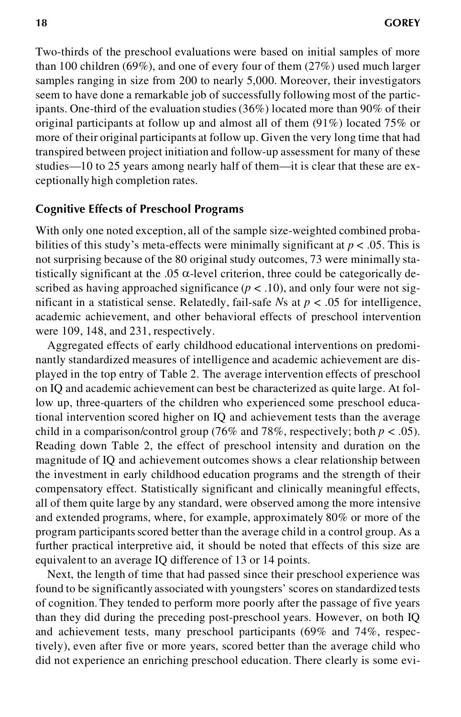Two-thirds of the preschool evaluations were based on initial samples of more than 100 children (69%), and one of every four of them (27%) used much larger samples ranging in size from 200 to nearly 5,000. Moreover, their investigators seem to have done a remarkable job of successfully following most of the participants. One-third of the evaluation studies (36%) located more than 90% of their original participants at follow up and almost all of them (91%) located 75% or more of their original participants at follow up. Given the very long time that had transpired between project initiation and follow-up assessment for many of these studies—10 to 25 years among nearly half of them—it is clear that these are exceptionally high completion rates.

## **Cognitive Effects of Preschool Programs**

With only one noted exception, all of the sample size-weighted combined probabilities of this study's meta-effects were minimally significant at  $p < .05$ . This is not surprising because of the 80 original study outcomes, 73 were minimally statistically significant at the .05  $\alpha$ -level criterion, three could be categorically described as having approached significance  $(p < .10)$ , and only four were not significant in a statistical sense. Relatedly, fail-safe  $N_s$  at  $p < .05$  for intelligence, academic achievement, and other behavioral effects of preschool intervention were 109, 148, and 231, respectively.

Aggregated effects of early childhood educational interventions on predominantly standardized measures of intelligence and academic achievement are displayed in the top entry of Table 2. The average intervention effects of preschool on IQ and academic achievement can best be characterized as quite large. At follow up, three-quarters of the children who experienced some preschool educational intervention scored higher on IQ and achievement tests than the average child in a comparison/control group (76% and 78%, respectively; both  $p < .05$ ). Reading down Table 2, the effect of preschool intensity and duration on the magnitude of IQ and achievement outcomes shows a clear relationship between the investment in early childhood education programs and the strength of their compensatory effect. Statistically significant and clinically meaningful effects, all of them quite large by any standard, were observed among the more intensive and extended programs, where, for example, approximately 80% or more of the program participants scored better than the average child in a control group. As a further practical interpretive aid, it should be noted that effects of this size are equivalent to an average IQ difference of 13 or 14 points.

Next, the length of time that had passed since their preschool experience was found to be significantly associated with youngsters'scores on standardized tests of cognition. They tended to perform more poorly after the passage of five years than they did during the preceding post-preschool years. However, on both IQ and achievement tests, many preschool participants (69% and 74%, respectively), even after five or more years, scored better than the average child who did not experience an enriching preschool education. There clearly is some evi-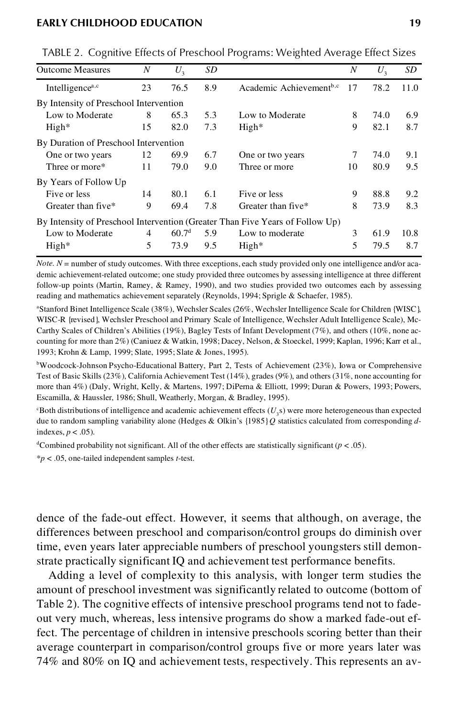| <b>Outcome Measures</b>                | N  | $U_{\rm{2}}$      | SD  |                                                                               | N  | $U_{\mathfrak{p}}$ | SD   |
|----------------------------------------|----|-------------------|-----|-------------------------------------------------------------------------------|----|--------------------|------|
| Intelligence <sup>a,c</sup>            | 23 | 76.5              | 8.9 | Academic Achievement <sup>b,c</sup>                                           | 17 | 78.2               | 11.0 |
| By Intensity of Preschool Intervention |    |                   |     |                                                                               |    |                    |      |
| Low to Moderate                        | 8  | 65.3              | 5.3 | Low to Moderate                                                               | 8  | 74.0               | 6.9  |
| High*                                  | 15 | 82.0              | 7.3 | High*                                                                         | 9  | 82.1               | 8.7  |
| By Duration of Preschool Intervention  |    |                   |     |                                                                               |    |                    |      |
| One or two years                       | 12 | 69.9              | 6.7 | One or two years                                                              | 7  | 74.0               | 9.1  |
| Three or more*                         | 11 | 79.0              | 9.0 | Three or more                                                                 | 10 | 80.9               | 9.5  |
| By Years of Follow Up                  |    |                   |     |                                                                               |    |                    |      |
| Five or less                           | 14 | 80.1              | 6.1 | Five or less                                                                  | 9  | 88.8               | 9.2  |
| Greater than five*                     | 9  | 69.4              | 7.8 | Greater than five*                                                            | 8  | 73.9               | 8.3  |
|                                        |    |                   |     | By Intensity of Preschool Intervention (Greater Than Five Years of Follow Up) |    |                    |      |
| Low to Moderate                        | 4  | 60.7 <sup>d</sup> | 5.9 | Low to moderate                                                               | 3  | 61.9               | 10.8 |
| High*                                  | 5  | 73.9              | 9.5 | High*                                                                         | 5  | 79.5               | 8.7  |
|                                        |    |                   |     |                                                                               |    |                    |      |

TABLE 2. Cognitive Effects of Preschool Programs: Weighted Average Effect Sizes

*Note.*  $N =$  number of study outcomes. With three exceptions, each study provided only one intelligence and/or academic achievement-related outcome; one study provided three outcomes by assessing intelligence at three different follow-up points (Martin, Ramey, & Ramey, 1990), and two studies provided two outcomes each by assessing reading and mathematics achievement separately (Reynolds, 1994; Sprigle & Schaefer, 1985).

<sup>a</sup>Stanford Binet Intelligence Scale (38%), Wechsler Scales (26%, Wechsler Intelligence Scale for Children {WISC}, WISC-R {revised}, Wechsler Preschool and Primary Scale of Intelligence, Wechsler Adult Intelligence Scale), Mc-Carthy Scales of Children's Abilities (19%), Bagley Tests of Infant Development (7%), and others (10%, none ac counting for more than 2%) (Caniuez & Watkin, 1998; Dacey, Nelson, & Stoeckel, 1999; Kaplan, 1996; Karr et al., 1993; Krohn & Lamp, 1999; Slate, 1995; Slate & Jones, 1995).

<sup>b</sup>Woodcock-Johnson Psycho-Educational Battery, Part 2, Tests of Achievement (23%), Iowa or Comprehensive Test of Basic Skills (23%), California Achievement Test (14%), grades (9%), and others (31%, none accounting for more than 4%) (Daly, Wright, Kelly, & Martens, 1997; DiPerna & Elliott, 1999; Duran & Powers, 1993; Powers, Escamilla, & Haussler, 1986; Shull, Weatherly, Morgan, & Bradley, 1995).

 $c_{\text{Both}}$  distributions of intelligence and academic achievement effects ( $U_3$ s) were more heterogeneous than expected due to random sampling variability alone (Hedges & Olkin's {1985}*Q* statistics calculated from corresponding *d*indexes,  $p < .05$ ).

<sup>d</sup>Combined probability not significant. All of the other effects are statistically significant ( $p < .05$ ).

\**p* < .05, one-tailed independent samples *t*-test.

dence of the fade-out effect. However, it seems that although, on average, the differences between preschool and comparison/control groups do diminish over time, even years later appreciable numbers of preschool youngsters still demonstrate practically significant IQ and achievement test performance benefits.

Adding a level of complexity to this analysis, with longer term studies the amount of preschool investment was significantly related to outcome (bottom of Table 2). The cognitive effects of intensive preschool programs tend not to fadeout very much, whereas, less intensive programs do show a marked fade-out effect. The percentage of children in intensive preschools scoring better than their average counterpart in comparison/control groups five or more years later was 74% and 80% on IQ and achievement tests, respectively. This represents an av-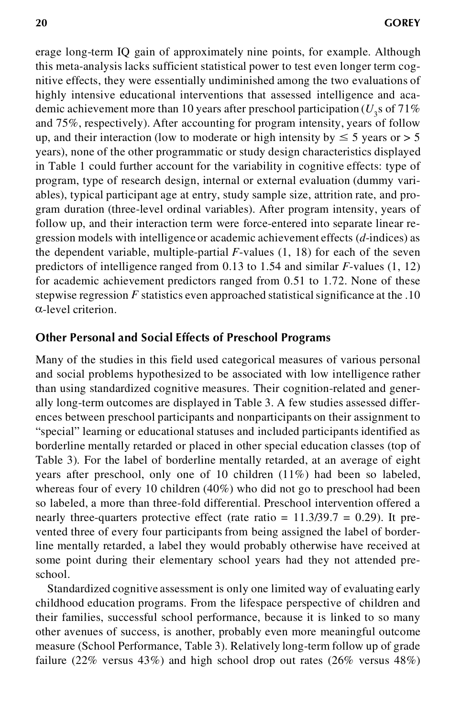erage long-term IQ gain of approximately nine points, for example. Although this meta-analysis lacks sufficient statistical power to test even longer term cognitive effects, they were essentially undiminished among the two evaluations of highly intensive educational interventions that assessed intelligence and academic achievement more than 10 years after preschool participation ( $U_2$ s of 71%) and 75%, respectively). After accounting for program intensity, years of follow up, and their interaction (low to moderate or high intensity by  $\leq 5$  years or  $> 5$ years), none of the other programmatic or study design characteristics displayed in Table 1 could further account for the variability in cognitive effects: type of program, type of research design, internal or external evaluation (dummy variables), typical participant age at entry, study sample size, attrition rate, and program duration (three-level ordinal variables). After program intensity, years of follow up, and their interaction term were force-entered into separate linear regression models with intelligence or academic achievement effects (*d*-indices) as the dependent variable, multiple-partial  $F$ -values  $(1, 18)$  for each of the seven predictors of intelligence ranged from 0.13 to 1.54 and similar *F*-values (1, 12) for academic achievement predictors ranged from 0.51 to 1.72. None of these stepwise regression *F* statistics even approached statistical significance at the .10 a-level criterion.

## **Other Personal and Social Effects of Preschool Programs**

Many of the studies in this field used categorical measures of various personal and social problems hypothesized to be associated with low intelligence rather than using standardized cognitive measures. Their cognition-related and generally long-term outcomes are displayed in Table 3. A few studies assessed differences between preschool participants and nonparticipants on their assignment to "special" learning or educational statuses and included participants identified as borderline mentally retarded or placed in other special education classes (top of Table 3). For the label of borderline mentally retarded, at an average of eight years after preschool, only one of 10 children (11%) had been so labeled, whereas four of every 10 children  $(40\%)$  who did not go to preschool had been so labeled, a more than three-fold differential. Preschool intervention offered a nearly three-quarters protective effect (rate ratio =  $11.3/39.7 = 0.29$ ). It prevented three of every four participants from being assigned the label of borderline mentally retarded, a label they would probably otherwise have received at some point during their elementary school years had they not attended preschool.

Standardized cognitive assessment is only one limited way of evaluating early childhood education programs. From the lifespace perspective of children and their families, successful school performance, because it is linked to so many other avenues of success, is another, probably even more meaningful outcome measure (School Performance, Table 3). Relatively long-term follow up of grade failure (22% versus 43%) and high school drop out rates (26% versus 48%)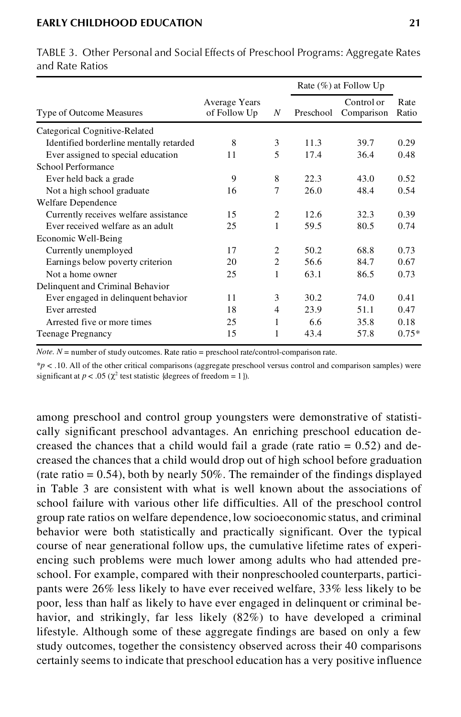|                                         |                               |                | Rate $(\%)$ at Follow Up |                          |               |
|-----------------------------------------|-------------------------------|----------------|--------------------------|--------------------------|---------------|
| Type of Outcome Measures                | Average Years<br>of Follow Up | N              | Preschool                | Control or<br>Comparison | Rate<br>Ratio |
| Categorical Cognitive-Related           |                               |                |                          |                          |               |
| Identified borderline mentally retarded | 8                             | 3              | 11.3                     | 39.7                     | 0.29          |
| Ever assigned to special education      | 11                            | 5              | 17.4                     | 36.4                     | 0.48          |
| School Performance                      |                               |                |                          |                          |               |
| Ever held back a grade                  | 9                             | 8              | 22.3                     | 43.0                     | 0.52          |
| Not a high school graduate              | 16                            | 7              | 26.0                     | 48.4                     | 0.54          |
| <b>Welfare Dependence</b>               |                               |                |                          |                          |               |
| Currently receives welfare assistance   | 15                            | 2              | 12.6                     | 32.3                     | 0.39          |
| Ever received welfare as an adult       | 25                            | 1              | 59.5                     | 80.5                     | 0.74          |
| Economic Well-Being                     |                               |                |                          |                          |               |
| Currently unemployed                    | 17                            | 2              | 50.2                     | 68.8                     | 0.73          |
| Earnings below poverty criterion        | 20                            | $\overline{2}$ | 56.6                     | 84.7                     | 0.67          |
| Not a home owner                        | 25                            | 1              | 63.1                     | 86.5                     | 0.73          |
| Delinquent and Criminal Behavior        |                               |                |                          |                          |               |
| Ever engaged in delinquent behavior     | 11                            | 3              | 30.2                     | 74.0                     | 0.41          |
| Ever arrested                           | 18                            | $\overline{4}$ | 23.9                     | 51.1                     | 0.47          |
| Arrested five or more times             | 25                            | 1              | 6.6                      | 35.8                     | 0.18          |
| Teenage Pregnancy                       | 15                            |                | 43.4                     | 57.8                     | $0.75*$       |

TABLE 3. Other Personal and Social Effects of Preschool Programs: Aggregate Rates and Rate Ratios

*Note.*  $N =$  number of study outcomes. Rate ratio = preschool rate/control-comparison rate.

\**p* < .10. All of the other critical comparisons (aggregate preschool versus control and comparison samples) were significant at  $p < .05$  ( $\chi^2$  test statistic {degrees of freedom = 1}).

among preschool and control group youngsters were demonstrative of statistically significant preschool advantages. An enriching preschool education decreased the chances that a child would fail a grade (rate ratio  $= 0.52$ ) and decreased the chances that a child would drop out of high school before graduation (rate ratio  $= 0.54$ ), both by nearly 50%. The remainder of the findings displayed in Table 3 are consistent with what is well known about the associations of school failure with various other life difficulties. All of the preschool control group rate ratios on welfare dependence, low socioeconomic status, and criminal behavior were both statistically and practically significant. Over the typical course of near generational follow ups, the cumulative lifetime rates of experiencing such problems were much lower among adults who had attended preschool. For example, compared with their nonpreschooled counterparts, participants were 26% less likely to have ever received welfare, 33% less likely to be poor, less than half as likely to have ever engaged in delinquent or criminal behavior, and strikingly, far less likely (82%) to have developed a criminal lifestyle. Although some of these aggregate findings are based on only a few study outcomes, together the consistency observed across their 40 comparisons certainly seems to indicate that preschool education has a very positive influence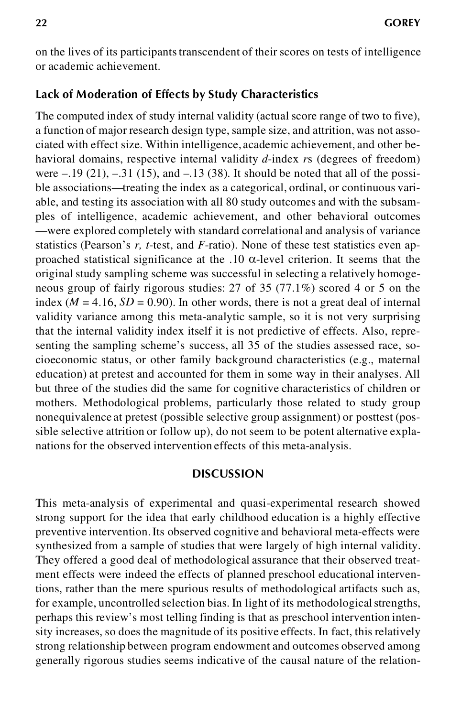on the lives of its participants transcendent of their scores on tests of intelligence or academic achievement.

## **Lack of Moderation of Effects by Study Characteristics**

The computed index of study internal validity (actual score range of two to five), a function of major research design type, sample size, and attrition, was not associated with effect size. Within intelligence, academic achievement, and other behavioral domains, respective internal validity *d*-index *r*s (degrees of freedom) were  $-.19$  (21),  $-.31$  (15), and  $-.13$  (38). It should be noted that all of the possible associations—treating the index as a categorical, ordinal, or continuous variable, and testing its association with all 80 study outcomes and with the subsamples of intelligence, academic achievement, and other behavioral outcomes —were explored completely with standard correlational and analysis of variance statistics (Pearson's *r, t*-test, and *F*-ratio). None of these test statistics even approached statistical significance at the .10  $\alpha$ -level criterion. It seems that the original study sampling scheme was successful in selecting a relatively homogeneous group of fairly rigorous studies: 27 of 35 (77.1%) scored 4 or 5 on the index ( $M = 4.16$ ,  $SD = 0.90$ ). In other words, there is not a great deal of internal validity variance among this meta-analytic sample, so it is not very surprising that the internal validity index itself it is not predictive of effects. Also, representing the sampling scheme's success, all 35 of the studies assessed race, socioeconomic status, or other family background characteristics (e.g., maternal education) at pretest and accounted for them in some way in their analyses. All but three of the studies did the same for cognitive characteristics of children or mothers. Methodological problems, particularly those related to study group nonequivalence at pretest (possible selective group assignment) or posttest (possible selective attrition or follow up), do not seem to be potent alternative explanations for the observed intervention effects of this meta-analysis.

## **DISCUSSION**

This meta-analysis of experimental and quasi-experimental research showed strong support for the idea that early childhood education is a highly effective preventive intervention. Its observed cognitive and behavioral meta-effects were synthesized from a sample of studies that were largely of high internal validity. They offered a good deal of methodological assurance that their observed treatment effects were indeed the effects of planned preschool educational interventions, rather than the mere spurious results of methodological artifacts such as, for example, uncontrolled selection bias. In light of its methodological strengths, perhaps this review's most telling finding is that as preschool intervention intensity increases, so does the magnitude of its positive effects. In fact, this relatively strong relationship between program endowment and outcomes observed among generally rigorous studies seems indicative of the causal nature of the relation-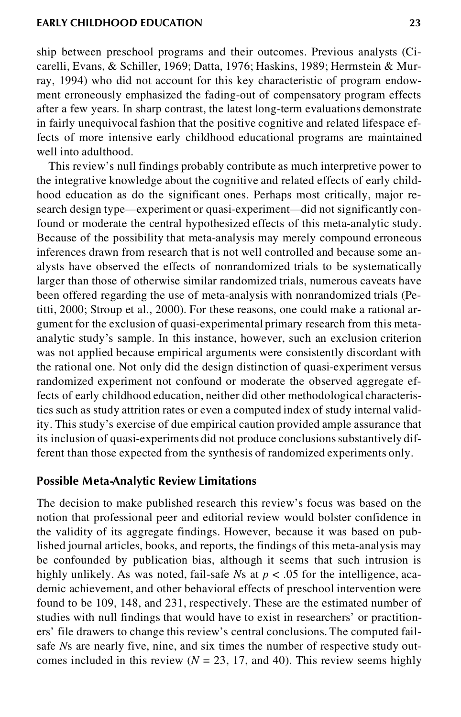ship between preschool programs and their outcomes. Previous analysts (Cicarelli, Evans, & Schiller, 1969; Datta, 1976; Haskins, 1989; Herrnstein & Murray, 1994) who did not account for this key characteristic of program endowment erroneously emphasized the fading-out of compensatory program effects after a few years. In sharp contrast, the latest long-term evaluations demonstrate in fairly unequivocal fashion that the positive cognitive and related lifespace effects of more intensive early childhood educational programs are maintained well into adulthood.

This review's null findings probably contribute as much interpretive power to the integrative knowledge about the cognitive and related effects of early childhood education as do the significant ones. Perhaps most critically, major research design type—experiment or quasi-experiment—did not significantly confound or moderate the central hypothesized effects of this meta-analytic study. Because of the possibility that meta-analysis may merely compound erroneous inferences drawn from research that is not well controlled and because some analysts have observed the effects of nonrandomized trials to be systematically larger than those of otherwise similar randomized trials, numerous caveats have been offered regarding the use of meta-analysis with nonrandomized trials (Petitti, 2000; Stroup et al., 2000). For these reasons, one could make a rational argument for the exclusion of quasi-experimental primary research from this metaanalytic study's sample. In this instance, however, such an exclusion criterion was not applied because empirical arguments were consistently discordant with the rational one. Not only did the design distinction of quasi-experiment versus randomized experiment not confound or moderate the observed aggregate effects of early childhood education, neither did other methodological characteristics such as study attrition rates or even a computed index of study internal validity. This study's exercise of due empirical caution provided ample assurance that its inclusion of quasi-experiments did not produce conclusions substantively different than those expected from the synthesis of randomized experiments only.

## **Possible Meta-Analytic Review Limitations**

The decision to make published research this review's focus was based on the notion that professional peer and editorial review would bolster confidence in the validity of its aggregate findings. However, because it was based on published journal articles, books, and reports, the findings of this meta-analysis may be confounded by publication bias, although it seems that such intrusion is highly unlikely. As was noted, fail-safe *N*s at  $p < .05$  for the intelligence, academic achievement, and other behavioral effects of preschool intervention were found to be 109, 148, and 231, respectively. These are the estimated number of studies with null findings that would have to exist in researchers' or practitioners' file drawers to change this review's central conclusions. The computed failsafe *N*s are nearly five, nine, and six times the number of respective study outcomes included in this review  $(N = 23, 17,$  and 40). This review seems highly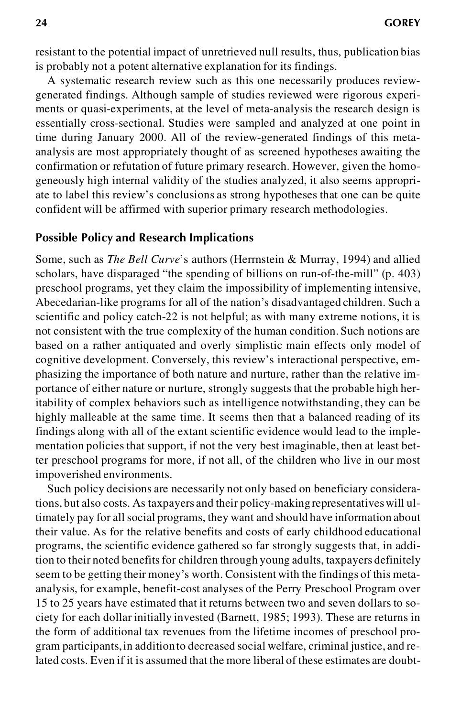resistant to the potential impact of unretrieved null results, thus, publication bias is probably not a potent alternative explanation for its findings.

A systematic research review such as this one necessarily produces reviewgenerated findings. Although sample of studies reviewed were rigorous experiments or quasi-experiments, at the level of meta-analysis the research design is essentially cross-sectional. Studies were sampled and analyzed at one point in time during January 2000. All of the review-generated findings of this metaanalysis are most appropriately thought of as screened hypotheses awaiting the confirmation or refutation of future primary research. However, given the homogeneously high internal validity of the studies analyzed, it also seems appropriate to label this review's conclusions as strong hypotheses that one can be quite confident will be affirmed with superior primary research methodologies.

## **Possible Policy and Research Implications**

Some, such as *The Bell Curve*'s authors (Herrnstein & Murray, 1994) and allied scholars, have disparaged "the spending of billions on run-of-the-mill" (p. 403) preschool programs, yet they claim the impossibility of implementing intensive, Abecedarian-like programs for all of the nation's disadvantaged children. Such a scientific and policy catch-22 is not helpful; as with many extreme notions, it is not consistent with the true complexity of the human condition. Such notions are based on a rather antiquated and overly simplistic main effects only model of cognitive development. Conversely, this review's interactional perspective, emphasizing the importance of both nature and nurture, rather than the relative importance of either nature or nurture, strongly suggests that the probable high heritability of complex behaviors such as intelligence notwithstanding, they can be highly malleable at the same time. It seems then that a balanced reading of its findings along with all of the extant scientific evidence would lead to the implementation policies that support, if not the very best imaginable, then at least better preschool programs for more, if not all, of the children who live in our most impoverished environments.

Such policy decisions are necessarily not only based on beneficiary considerations, but also costs. As taxpayers and their policy-making representatives will ultimately pay for all social programs, they want and should have information about their value. As for the relative benefits and costs of early childhood educational programs, the scientific evidence gathered so far strongly suggests that, in addition to their noted benefits for children through young adults, taxpayers definitely seem to be getting their money's worth. Consistent with the findings of this metaanalysis, for example, benefit-cost analyses of the Perry Preschool Program over 15 to 25 years have estimated that it returns between two and seven dollars to society for each dollar initially invested (Barnett, 1985; 1993). These are returns in the form of additional tax revenues from the lifetime incomes of preschool program participants, in addition to decreased social welfare, criminal justice, and related costs. Even if it is assumed that the more liberal of these estimates are doubt-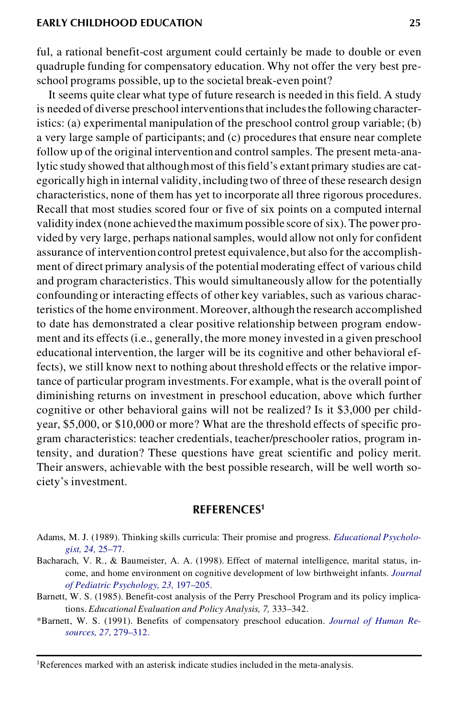ful, a rational benefit-cost argument could certainly be made to double or even quadruple funding for compensatory education. Why not offer the very best preschool programs possible, up to the societal break-even point?

It seems quite clear what type of future research is needed in this field. A study is needed of diverse preschool interventions that includes the following characteristics: (a) experimental manipulation of the preschool control group variable; (b) a very large sample of participants; and (c) procedures that ensure near complete follow up of the original intervention and control samples. The present meta-analytic study showed that although most of this field's extant primary studies are categorically high in internal validity, including two of three of these research design characteristics, none of them has yet to incorporate all three rigorous procedures. Recall that most studies scored four or five of six points on a computed internal validity index (none achieved the maximum possible score of six). The power provided by very large, perhaps national samples, would allow not only for confident assurance of intervention control pretest equivalence, but also for the accomplishment of direct primary analysis of the potential moderating effect of various child and program characteristics. This would simultaneously allow for the potentially confounding or interacting effects of other key variables, such as various characteristics of the home environment. Moreover, although the research accomplished to date has demonstrated a clear positive relationship between program endowment and its effects (i.e., generally, the more money invested in a given preschool educational intervention, the larger will be its cognitive and other behavioral effects), we still know next to nothing about threshold effects or the relative importance of particular program investments. For example, what is the overall point of diminishing returns on investment in preschool education, above which further cognitive or other behavioral gains will not be realized? Is it \$3,000 per childyear, \$5,000, or \$10,000 or more? What are the threshold effects of specific program characteristics: teacher credentials, teacher/preschooler ratios, program intensity, and duration? These questions have great scientific and policy merit. Their answers, achievable with the best possible research, will be well worth society's investment.

## **REFERENCES<sup>1</sup>**

- Adams, M. J. (1989). Thinking skills curricula: Their promise and progress. *[Educational Psycholo](http://puck.ingentaselect.com/nw=1/rpsv/cgi-bin/linker?ext=a&reqidx=/0046-1520^28^2924L.25[aid=1110906])[gist, 24,](http://puck.ingentaselect.com/nw=1/rpsv/cgi-bin/linker?ext=a&reqidx=/0046-1520^28^2924L.25[aid=1110906])* 25–77.
- Bacharach, V. R., & Baumeister, A. A. (1998). Effect of maternal intelligence, marital status, income, and home environment on cognitive development of low birthweight infants. *[Journal](http://puck.ingentaselect.com/nw=1/rpsv/cgi-bin/linker?ext=a&reqidx=/0146-8693^28^2923L.197[aid=1110907,csa=0146-8693^26vol=23^26iss=3^26firstpage=197,nlm=9640899]) [of Pediatric Psychology, 23,](http://puck.ingentaselect.com/nw=1/rpsv/cgi-bin/linker?ext=a&reqidx=/0146-8693^28^2923L.197[aid=1110907,csa=0146-8693^26vol=23^26iss=3^26firstpage=197,nlm=9640899])* 197–205.
- Barnett, W. S. (1985). Benefit-cost analysis of the Perry Preschool Program and its policy implications. *Educational Evaluation and Policy Analysis, 7,* 333–342.
- \*Barnett, W. S. (1991). Benefits of compensatory preschool education. *[Journal of Human Re](http://puck.ingentaselect.com/nw=1/rpsv/cgi-bin/linker?ext=a&reqidx=/0022-166X^28^2927L.279[aid=958607])[sources, 27,](http://puck.ingentaselect.com/nw=1/rpsv/cgi-bin/linker?ext=a&reqidx=/0022-166X^28^2927L.279[aid=958607])* 279–312.

<sup>1</sup>References marked with an asterisk indicate studies included in the meta-analysis.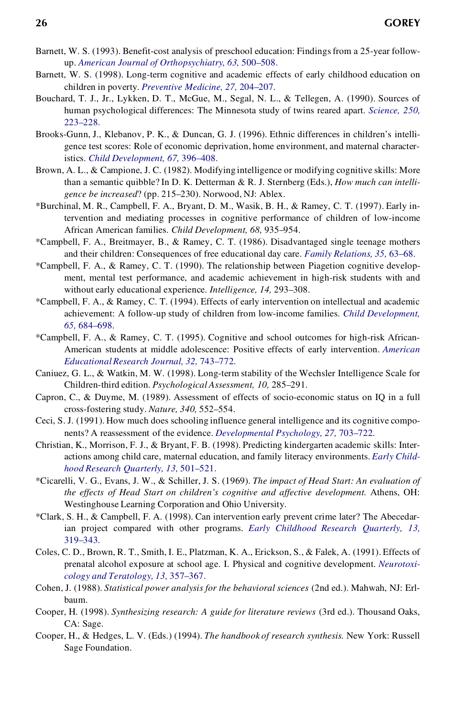- Barnett, W. S. (1993). Benefit-cost analysis of preschool education: Findings from a 25-year followup. *[American Journal of Orthopsychiatry, 63,](http://puck.ingentaselect.com/nw=1/rpsv/cgi-bin/linker?ext=a&reqidx=/0002-9432^28^2963L.500[aid=1110909,csa=0002-9432^26vol=63^26iss=4^26firstpage=500,nlm=8267089])* 500–508.
- Barnett, W. S. (1998). Long-term cognitive and academic effects of early childhood education on children in poverty. *[Preventive Medicine, 27,](http://puck.ingentaselect.com/nw=1/rpsv/cgi-bin/linker?ext=a&reqidx=/0091-7435^28^2927L.204[aid=1110910,csa=0091-7435^26vol=27^26iss=2^26firstpage=204,nlm=9578996])* 204–207.
- Bouchard, T. J., Jr., Lykken, D. T., McGue, M., Segal, N. L., & Tellegen, A. (1990). Sources of human psychological differences: The Minnesota study of twins reared apart. *[Science, 250,](http://puck.ingentaselect.com/nw=1/rpsv/cgi-bin/linker?ext=a&reqidx=/0036-8075^28^29250L.223[aid=123839,nlm=2218526])* [223–228.](http://puck.ingentaselect.com/nw=1/rpsv/cgi-bin/linker?ext=a&reqidx=/0036-8075^28^29250L.223[aid=123839,nlm=2218526])
- Brooks-Gunn, J., Klebanov, P. K., & Duncan, G. J. (1996). Ethnic differences in children's intelligence test scores: Role of economic deprivation, home environment, and maternal characteristics. *[Child Development, 67,](http://puck.ingentaselect.com/nw=1/rpsv/cgi-bin/linker?ext=a&reqidx=/0009-3920^28^2967L.396[aid=1110911,era=96M/261,nlm=8625720])* 396–408.
- Brown, A. L., & Campione, J. C. (1982). Modifying intelligence or modifying cognitive skills: More than a semantic quibble? In D. K. Detterman & R. J. Sternberg (Eds.), *How much can intelligence be increased*? (pp. 215–230). Norwood, NJ: Ablex.
- \*Burchinal, M. R., Campbell, F. A., Bryant, D. M., Wasik, B. H., & Ramey, C. T. (1997). Early intervention and mediating processes in cognitive performance of children of low-income African American families. *Child Development, 68,* 935–954.
- \*Campbell, F. A., Breitmayer, B., & Ramey, C. T. (1986). Disadvantaged single teenage mothers and their children: Consequences of free educational day care. *[Family Relations, 35,](http://puck.ingentaselect.com/nw=1/rpsv/cgi-bin/linker?ext=a&reqidx=/0197-6664^28^2935L.63[aid=1110913])* 63–68.
- \*Campbell, F. A., & Ramey, C. T. (1990). The relationship between Piagetion cognitive development, mental test performance, and academic achievement in high-risk students with and without early educational experience. *Intelligence, 14,* 293–308.
- \*Campbell, F. A., & Ramey, C. T. (1994). Effects of early intervention on intellectual and academic achievement: A follow-up study of children from low-income families. *[Child Development,](http://puck.ingentaselect.com/nw=1/rpsv/cgi-bin/linker?ext=a&reqidx=/0009-3920^28^2965L.684[aid=123804,csa=0009-3920^26vol=65^26iss=2^26firstpage=684,nlm=8013248]) 65,* [684–698.](http://puck.ingentaselect.com/nw=1/rpsv/cgi-bin/linker?ext=a&reqidx=/0009-3920^28^2965L.684[aid=123804,csa=0009-3920^26vol=65^26iss=2^26firstpage=684,nlm=8013248])
- \*Campbell, F. A., & Ramey, C. T. (1995). Cognitive and school outcomes for high-risk African-American students at middle adolescence: Positive effects of early intervention. *[American](http://puck.ingentaselect.com/nw=1/rpsv/cgi-bin/linker?ext=a&reqidx=/0002-8312^28^2932L.743[aid=123805,csa=0002-8312^26vol=32^26iss=4^26firstpage=743]) [Educational Research Journal, 32,](http://puck.ingentaselect.com/nw=1/rpsv/cgi-bin/linker?ext=a&reqidx=/0002-8312^28^2932L.743[aid=123805,csa=0002-8312^26vol=32^26iss=4^26firstpage=743])* 743–772.
- Caniuez, G. L., & Watkin, M. W. (1998). Long-term stability of the Wechsler Intelligence Scale for Children-third edition. *Psychological Assessment, 10,* 285–291.
- Capron, C., & Duyme, M. (1989). Assessment of effects of socio-economic status on IQ in a full cross-fostering study. *Nature, 340,* 552–554.
- Ceci, S. J. (1991). How much does schooling influence general intelligence and its cognitive components? A reassessment of the evidence. *[Developmental Psychology, 27,](http://puck.ingentaselect.com/nw=1/rpsv/cgi-bin/linker?ext=a&reqidx=/0012-1649^28^2927L.703[aid=123935])* 703–722.
- Christian, K., Morrison, F. J., & Bryant, F. B. (1998). Predicting kindergarten academic skills: Interactions among child care, maternal education, and family literacy environments. *[Early Child](http://puck.ingentaselect.com/nw=1/rpsv/cgi-bin/linker?ext=a&reqidx=/0885-2006^28^2913L.501[aid=1110916])[hood Research Quarterly, 13,](http://puck.ingentaselect.com/nw=1/rpsv/cgi-bin/linker?ext=a&reqidx=/0885-2006^28^2913L.501[aid=1110916])* 501–521.
- \*Cicarelli, V. G., Evans, J. W., & Schiller, J. S. (1969). *The impact of Head Start: An evaluation of the effects of Head Start on children's cognitive and affective development.* Athens, OH: Westinghouse Learning Corporation and Ohio University.
- \*Clark, S. H., & Campbell, F. A. (1998). Can intervention early prevent crime later? The Abecedarian project compared with other programs. *[Early Childhood Research Quarterly, 13,](http://puck.ingentaselect.com/nw=1/rpsv/cgi-bin/linker?ext=a&reqidx=/0885-2006^28^2913L.319[aid=1110917])* [319–343.](http://puck.ingentaselect.com/nw=1/rpsv/cgi-bin/linker?ext=a&reqidx=/0885-2006^28^2913L.319[aid=1110917])
- Coles, C. D., Brown, R. T., Smith, I. E., Platzman, K. A., Erickson, S., & Falek, A. (1991). Effects of prenatal alcohol exposure at school age. I. Physical and cognitive development. *[Neurotoxi](http://puck.ingentaselect.com/nw=1/rpsv/cgi-bin/linker?ext=a&reqidx=/0892-0362^28^2913L.357[aid=1110918,nlm=1921915])[cology and Teratology, 13,](http://puck.ingentaselect.com/nw=1/rpsv/cgi-bin/linker?ext=a&reqidx=/0892-0362^28^2913L.357[aid=1110918,nlm=1921915])* 357–367.
- Cohen, J. (1988). *Statistical power analysis for the behavioral sciences* (2nd ed.). Mahwah, NJ: Erlbaum.
- Cooper, H. (1998). *Synthesizing research: A guide for literature reviews* (3rd ed.). Thousand Oaks, CA: Sage.
- Cooper, H., & Hedges, L. V. (Eds.) (1994). *The handbook of research synthesis.* New York: Russell Sage Foundation.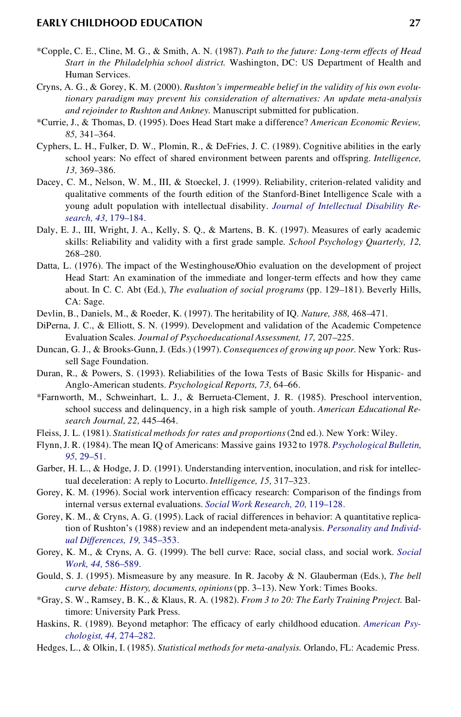- \*Copple, C. E., Cline, M. G., & Smith, A. N. (1987). *Path to the future: Long-term effects of Head Start in the Philadelphia school district.* Washington, DC: US Department of Health and Human Services.
- Cryns, A. G., & Gorey, K. M. (2000). *Rushton's impermeable belief in the validity of his own evolutionary paradigm may prevent his consideration of alternatives: An update meta-analysis and rejoinder to Rushton and Ankney.* Manuscript submitted for publication.
- \*Currie, J., & Thomas, D. (1995). Does Head Start make a difference? *American Economic Review, 85,* 341–364.
- Cyphers, L. H., Fulker, D. W., Plomin, R., & DeFries, J. C. (1989). Cognitive abilities in the early school years: No effect of shared environment between parents and offspring. *Intelligence, 13,* 369–386.
- Dacey, C. M., Nelson, W. M., III, & Stoeckel, J. (1999). Reliability, criterion-related validity and qualitative comments of the fourth edition of the Stanford-Binet Intelligence Scale with a young adult population with intellectual disability. *[Journal of Intellectual Disability Re](http://puck.ingentaselect.com/nw=1/rpsv/cgi-bin/linker?ext=a&reqidx=/0964-2633^28^2943L.179[aid=1110920,nlm=10392604])[search, 43,](http://puck.ingentaselect.com/nw=1/rpsv/cgi-bin/linker?ext=a&reqidx=/0964-2633^28^2943L.179[aid=1110920,nlm=10392604])* 179–184.
- Daly, E. J., III, Wright, J. A., Kelly, S. Q., & Martens, B. K. (1997). Measures of early academic skills: Reliability and validity with a first grade sample. *School Psychology Quarterly, 12,* 268–280.
- Datta, L. (1976). The impact of the Westinghouse/Ohio evaluation on the development of project Head Start: An examination of the immediate and longer-term effects and how they came about. In C. C. Abt (Ed.), *The evaluation of social programs* (pp. 129–181). Beverly Hills, CA: Sage.
- Devlin, B., Daniels, M., & Roeder, K. (1997). The heritability of IQ. *Nature, 388,* 468–471.
- DiPerna, J. C., & Elliott, S. N. (1999). Development and validation of the Academic Competence Evaluation Scales. *Journal of Psychoeducational Assessment, 17,* 207–225.
- Duncan, G. J., & Brooks-Gunn, J. (Eds.) (1997). *Consequences of growing up poor.* New York: Russell Sage Foundation.
- Duran, R., & Powers, S. (1993). Reliabilities of the Iowa Tests of Basic Skills for Hispanic- and Anglo-American students. *Psychological Reports, 73,* 64–66.
- \*Farnworth, M., Schweinhart, L. J., & Berrueta-Clement, J. R. (1985). Preschool intervention, school success and delinquency, in a high risk sample of youth. *American Educational Research Journal, 22,* 445–464.
- Fleiss, J. L. (1981). *Statistical methods for rates and proportions*(2nd ed.). New York: Wiley.
- Flynn, J. R. (1984). The mean IQ of Americans: Massive gains 1932 to 1978. *[Psychological Bulletin,](http://puck.ingentaselect.com/nw=1/rpsv/cgi-bin/linker?ext=a&reqidx=/0033-2909^28^2995L.29[aid=123939]) 95,* [29–51.](http://puck.ingentaselect.com/nw=1/rpsv/cgi-bin/linker?ext=a&reqidx=/0033-2909^28^2995L.29[aid=123939])
- Garber, H. L., & Hodge, J. D. (1991). Understanding intervention, inoculation, and risk for intellectual deceleration: A reply to Locurto. *Intelligence, 15,* 317–323.
- Gorey, K. M. (1996). Social work intervention efficacy research: Comparison of the findings from internal versus external evaluations. *[Social Work Research, 20,](http://puck.ingentaselect.com/nw=1/rpsv/cgi-bin/linker?ext=a&reqidx=/1070-5309^28^2920L.119[aid=246911])* 119–128.
- Gorey, K. M., & Cryns, A. G. (1995). Lack of racial differences in behavior: A quantitative replication of Rushton's (1988) review and an independent meta-analysis. *[Personality and Individ](http://puck.ingentaselect.com/nw=1/rpsv/cgi-bin/linker?ext=a&reqidx=/0191-8869^28^2919L.345[aid=1110924])[ual Differences, 19,](http://puck.ingentaselect.com/nw=1/rpsv/cgi-bin/linker?ext=a&reqidx=/0191-8869^28^2919L.345[aid=1110924])* 345–353.
- Gorey, K. M., & Cryns, A. G. (1999). The bell curve: Race, social class, and social work. *[Social](http://puck.ingentaselect.com/nw=1/rpsv/cgi-bin/linker?ext=a&reqidx=/0037-8046^28^2944L.586[aid=1110925,csa=0037-8046^26vol=44^26iss=6^26firstpage=586]) [Work, 44,](http://puck.ingentaselect.com/nw=1/rpsv/cgi-bin/linker?ext=a&reqidx=/0037-8046^28^2944L.586[aid=1110925,csa=0037-8046^26vol=44^26iss=6^26firstpage=586])* 586–589.
- Gould, S. J. (1995). Mismeasure by any measure. In R. Jacoby & N. Glauberman (Eds.), *The bell curve debate: History, documents, opinions*(pp. 3–13). New York: Times Books.
- \*Gray, S. W., Ramsey, B. K., & Klaus, R. A. (1982). *From 3 to 20: The Early Training Project.* Baltimore: University Park Press.
- Haskins, R. (1989). Beyond metaphor: The efficacy of early childhood education. *[American Psy](http://puck.ingentaselect.com/nw=1/rpsv/cgi-bin/linker?ext=a&reqidx=/0003-066X^28^2944L.274[aid=1110926])[chologist, 44,](http://puck.ingentaselect.com/nw=1/rpsv/cgi-bin/linker?ext=a&reqidx=/0003-066X^28^2944L.274[aid=1110926])* 274–282.
- Hedges, L., & Olkin, I. (1985). *Statistical methods for meta-analysis.* Orlando, FL: Academic Press.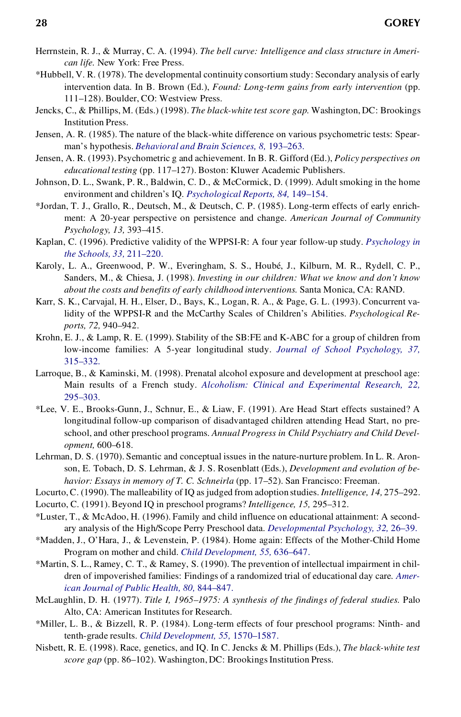- Herrnstein, R. J., & Murray, C. A. (1994). *The bell curve: Intelligence and class structure in Ameri can life.* New York: Free Press.
- \*Hubbell, V. R. (1978). The developmental continuity consortium study: Secondary analysis of early intervention data. In B. Brown (Ed.), *Found: Long-term gains from early intervention* (pp. 111–128). Boulder, CO: Westview Press.
- Jencks, C., & Phillips, M. (Eds.) (1998). *The black-white test score gap.* Washington, DC: Brookings Institution Press.
- Jensen, A. R. (1985). The nature of the black-white difference on various psychometric tests: Spearman's hypothesis. *[Behavioral and Brain Sciences, 8,](http://puck.ingentaselect.com/nw=1/rpsv/cgi-bin/linker?ext=a&reqidx=/0140-525X^28^298L.193[aid=292465])* 193–263.
- Jensen, A. R. (1993). Psychometric g and achievement. In B. R. Gifford (Ed.), *Policy perspectives on educational testing* (pp. 117–127). Boston: Kluwer Academic Publishers.
- Johnson, D. L., Swank, P. R., Baldwin, C. D., & McCormick, D. (1999). Adult smoking in the home environment and children's IQ. *[Psychological Reports, 84,](http://puck.ingentaselect.com/nw=1/rpsv/cgi-bin/linker?ext=a&reqidx=/0033-2941^28^2984L.149[aid=1110927,csa=0033-2941^26vol=84^26iss=1^26firstpage=149,nlm=10203944])* 149–154.
- \*Jordan, T. J., Grallo, R., Deutsch, M., & Deutsch, C. P. (1985). Long-term effects of early enrichment: A 20-year perspective on persistence and change. *American Journal of Community Psychology, 13,* 393–415.
- Kaplan, C. (1996). Predictive validity of the WPPSI-R: A four year follow-up study. *[Psychology in](http://puck.ingentaselect.com/nw=1/rpsv/cgi-bin/linker?ext=a&reqidx=/0033-3085^28^2933L.211[aid=1110934]) [the Schools, 33,](http://puck.ingentaselect.com/nw=1/rpsv/cgi-bin/linker?ext=a&reqidx=/0033-3085^28^2933L.211[aid=1110934])* 211–220.
- Karoly, L. A., Greenwood, P. W., Everingham, S. S., Houbé, J., Kilburn, M. R., Rydell, C. P., Sanders, M., & Chiesa, J. (1998). *Investing in our children: What we know and don't know about the costs and benefits of early childhood interventions.* Santa Monica, CA: RAND.
- Karr, S. K., Carvajal, H. H., Elser, D., Bays, K., Logan, R. A., & Page, G. L. (1993). Concurrent validity of the WPPSI-R and the McCarthy Scales of Children's Abilities. *Psychological Reports, 72,* 940–942.
- Krohn, E. J., & Lamp, R. E. (1999). Stability of the SB:FE and K-ABC for a group of children from low-income families: A 5-year longitudinal study. *[Journal of School Psychology, 37,](http://puck.ingentaselect.com/nw=1/rpsv/cgi-bin/linker?ext=a&reqidx=/0022-4405^28^2937L.315[aid=1110930])* [315–332.](http://puck.ingentaselect.com/nw=1/rpsv/cgi-bin/linker?ext=a&reqidx=/0022-4405^28^2937L.315[aid=1110930])
- Larroque, B., & Kaminski, M. (1998). Prenatal alcohol exposure and development at preschool age: Main results of a French study. *[Alcoholism: Clinical and Experimental Research, 22,](http://puck.ingentaselect.com/nw=1/rpsv/cgi-bin/linker?ext=a&reqidx=/0145-6008^28^2922L.295[aid=1110931,nlm=9581632])* [295–303.](http://puck.ingentaselect.com/nw=1/rpsv/cgi-bin/linker?ext=a&reqidx=/0145-6008^28^2922L.295[aid=1110931,nlm=9581632])
- \*Lee, V. E., Brooks-Gunn, J., Schnur, E., & Liaw, F. (1991). Are Head Start effects sustained? A longitudinal follow-up comparison of disadvantaged children attending Head Start, no preschool, and other preschool programs. *Annual Progress in Child Psychiatry and Child Development,* 600–618.
- Lehrman, D. S. (1970). Semantic and conceptual issues in the nature-nurture problem. In L. R. Aronson, E. Tobach, D. S. Lehrman, & J. S. Rosenblatt (Eds.), *Development and evolution of behavior: Essays in memory of T. C. Schneirla* (pp. 17–52). San Francisco: Freeman.
- Locurto, C. (1990). The malleability of IQ as judged from adoption studies. *Intelligence, 14,* 275–292.
- Locurto, C. (1991). Beyond IQ in preschool programs? *Intelligence, 15,* 295–312.
- \*Luster, T., & McAdoo, H. (1996). Family and child influence on educational attainment: A secondary analysis of the High/Scope Perry Preschool data. *[Developmental Psychology, 32,](http://puck.ingentaselect.com/nw=1/rpsv/cgi-bin/linker?ext=a&reqidx=/0012-1649^28^2932L.26[aid=78489])* 26–39.
- \*Madden, J., O'Hara, J., & Levenstein, P. (1984). Home again: Effects of the Mother-Child Home Program on mother and child. *[Child Development, 55,](http://puck.ingentaselect.com/nw=1/rpsv/cgi-bin/linker?ext=a&reqidx=/0009-3920^28^2955L.636[aid=1110932,nlm=6723452])* 636–647.
- \*Martin, S. L., Ramey, C. T., & Ramey, S. (1990). The prevention of intellectual impairment in children of impoverished families: Findings of a randomized trial of educational day care. *[Amer](http://puck.ingentaselect.com/nw=1/rpsv/cgi-bin/linker?ext=a&reqidx=/0090-0036^28^2980L.844[aid=123949,csa=0090-0036^26vol=80^26iss=7^26firstpage=844,nlm=2356909])[ican Journal of Public Health, 80,](http://puck.ingentaselect.com/nw=1/rpsv/cgi-bin/linker?ext=a&reqidx=/0090-0036^28^2980L.844[aid=123949,csa=0090-0036^26vol=80^26iss=7^26firstpage=844,nlm=2356909])* 844–847.
- McLaughlin, D. H. (1977). *Title I, 1965–1975: A synthesis of the findings of federal studies.* Palo Alto, CA: American Institutes for Research.
- \*Miller, L. B., & Bizzell, R. P. (1984). Long-term effects of four preschool programs: Ninth- and tenth-grade results. *[Child Development, 55,](http://puck.ingentaselect.com/nw=1/rpsv/cgi-bin/linker?ext=a&reqidx=/0009-3920^28^2955L.1570[aid=1110933,nlm=6488964])* 1570–1587.
- Nisbett, R. E. (1998). Race, genetics, and IQ. In C. Jencks & M. Phillips (Eds.), *The black-white test score gap* (pp. 86–102). Washington, DC: Brookings Institution Press.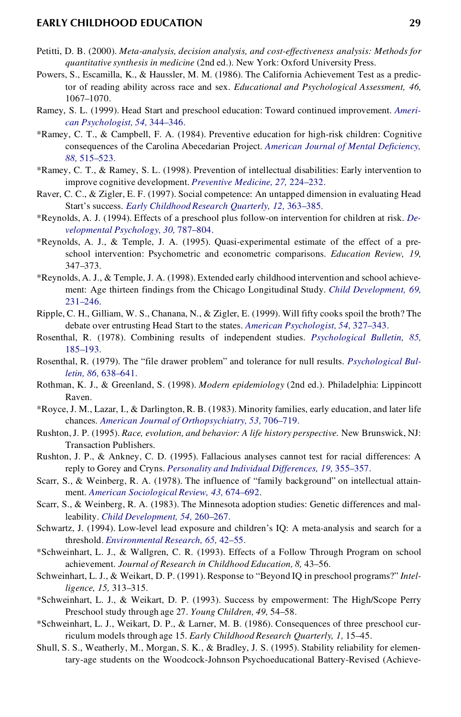- Petitti, D. B. (2000). *Meta-analysis, decision analysis, and cost-effectiveness analysis: Methods for quantitative synthesis in medicine* (2nd ed.). New York: Oxford University Press.
- Powers, S., Escamilla, K., & Haussler, M. M. (1986). The California Achievement Test as a predictor of reading ability across race and sex. *Educational and Psychological Assessment, 46,* 1067–1070.
- Ramey, S. L. (1999). Head Start and preschool education: Toward continued improvement. *[Ameri](http://puck.ingentaselect.com/nw=1/rpsv/cgi-bin/linker?ext=a&reqidx=/0003-066X^28^2954L.344[aid=1110935,csa=0003-066X^26vol=54^26iss=5^26firstpage=344]) [can Psychologist, 54,](http://puck.ingentaselect.com/nw=1/rpsv/cgi-bin/linker?ext=a&reqidx=/0003-066X^28^2954L.344[aid=1110935,csa=0003-066X^26vol=54^26iss=5^26firstpage=344])* 344–346.
- \*Ramey, C. T., & Campbell, F. A. (1984). Preventive education for high-risk children: Cognitive consequences of the Carolina Abecedarian Project. *[American Journal of Mental Deficiency,](http://puck.ingentaselect.com/nw=1/rpsv/cgi-bin/linker?ext=a&reqidx=/0002-9351^28^2988L.515[aid=1110936,nlm=6731489]) 88,* [515–523.](http://puck.ingentaselect.com/nw=1/rpsv/cgi-bin/linker?ext=a&reqidx=/0002-9351^28^2988L.515[aid=1110936,nlm=6731489])
- \*Ramey, C. T., & Ramey, S. L. (1998). Prevention of intellectual disabilities: Early intervention to improve cognitive development. *[Preventive Medicine, 27,](http://puck.ingentaselect.com/nw=1/rpsv/cgi-bin/linker?ext=a&reqidx=/0091-7435^28^2927L.224[aid=1110937,csa=0091-7435^26vol=27^26iss=2^26firstpage=224,nlm=9579000])* 224–232.
- Raver, C. C., & Zigler, E. F. (1997). Social competence: An untapped dimension in evaluating Head Start's success. *[Early Childhood Research Quarterly, 12,](http://puck.ingentaselect.com/nw=1/rpsv/cgi-bin/linker?ext=a&reqidx=/0885-2006^28^2912L.363[aid=1110938])* 363–385.
- \*Reynolds, A. J. (1994). Effects of a preschool plus follow-on intervention for children at risk. *[De](http://puck.ingentaselect.com/nw=1/rpsv/cgi-bin/linker?ext=a&reqidx=/0012-1649^28^2930L.787[aid=951574])[velopmental Psychology, 30,](http://puck.ingentaselect.com/nw=1/rpsv/cgi-bin/linker?ext=a&reqidx=/0012-1649^28^2930L.787[aid=951574])* 787–804.
- \*Reynolds, A. J., & Temple, J. A. (1995). Quasi-experimental estimate of the effect of a preschool intervention: Psychometric and econometric comparisons. *Education Review, 19,* 347–373.
- \*Reynolds, A. J., & Temple, J. A. (1998). Extended early childhood intervention and school achievement: Age thirteen findings from the Chicago Longitudinal Study. *[Child Development, 69,](http://puck.ingentaselect.com/nw=1/rpsv/cgi-bin/linker?ext=a&reqidx=/0009-3920^28^2969L.231[aid=1110940,csa=0009-3920^26vol=69^26iss=1^26firstpage=231,nlm=9499569])* [231–246.](http://puck.ingentaselect.com/nw=1/rpsv/cgi-bin/linker?ext=a&reqidx=/0009-3920^28^2969L.231[aid=1110940,csa=0009-3920^26vol=69^26iss=1^26firstpage=231,nlm=9499569])
- Ripple, C. H., Gilliam, W. S., Chanana, N., & Zigler, E. (1999). Will fifty cooks spoil the broth? The debate over entrusting Head Start to the states. *[American Psychologist, 54,](http://puck.ingentaselect.com/nw=1/rpsv/cgi-bin/linker?ext=a&reqidx=/0003-066X^28^2954L.327[aid=1110941,csa=0003-066X^26vol=54^26iss=5^26firstpage=327])* 327–343.
- Rosenthal, R. (1978). Combining results of independent studies. *[Psychological Bulletin, 85,](http://puck.ingentaselect.com/nw=1/rpsv/cgi-bin/linker?ext=a&reqidx=/0033-2909^28^2985L.185[aid=79153])* [185–193.](http://puck.ingentaselect.com/nw=1/rpsv/cgi-bin/linker?ext=a&reqidx=/0033-2909^28^2985L.185[aid=79153])
- Rosenthal, R. (1979). The "file drawer problem" and tolerance for null results. *[Psychological Bul](http://puck.ingentaselect.com/nw=1/rpsv/cgi-bin/linker?ext=a&reqidx=/0033-2909^28^2986L.638[aid=73446])letin, 86,* [638–641.](http://puck.ingentaselect.com/nw=1/rpsv/cgi-bin/linker?ext=a&reqidx=/0033-2909^28^2986L.638[aid=73446])
- Rothman, K. J., & Greenland, S. (1998). *Modern epidemiology* (2nd ed.). Philadelphia: Lippincott Raven.
- \*Royce, J. M., Lazar, I., & Darlington, R. B. (1983). Minority families, early education, and later life chances. *[American Journal of Orthopsychiatry, 53,](http://puck.ingentaselect.com/nw=1/rpsv/cgi-bin/linker?ext=a&reqidx=/0002-9432^28^2953L.706[aid=1110942,nlm=6638161])* 706–719.
- Rushton, J. P. (1995). *Race, evolution, and behavior: A life history perspective.* New Brunswick, NJ: Transaction Publishers.
- Rushton, J. P., & Ankney, C. D. (1995). Fallacious analyses cannot test for racial differences: A reply to Gorey and Cryns. *[Personality and Individual Differences, 19,](http://puck.ingentaselect.com/nw=1/rpsv/cgi-bin/linker?ext=a&reqidx=/0191-8869^28^2919L.355[aid=1110943])* 355–357.
- Scarr, S., & Weinberg, R. A. (1978). The influence of "family background" on intellectual attainment. *[American Sociological Review, 43,](http://puck.ingentaselect.com/nw=1/rpsv/cgi-bin/linker?ext=a&reqidx=/0003-1224^28^2943L.674[aid=123892,csa=0003-1224^26vol=43^26iss=5^26firstpage=674])* 674–692.
- Scarr, S., & Weinberg, R. A. (1983). The Minnesota adoption studies: Genetic differences and malleability. *[Child Development, 54,](http://puck.ingentaselect.com/nw=1/rpsv/cgi-bin/linker?ext=a&reqidx=/0009-3920^28^2954L.260[aid=1110944,nlm=6872626])* 260–267.
- Schwartz, J. (1994). Low-level lead exposure and children's IQ: A meta-analysis and search for a threshold. *[Environmental Research, 65,](http://puck.ingentaselect.com/nw=1/rpsv/cgi-bin/linker?ext=a&reqidx=/0013-9351^28^2965L.42[aid=821489,nlm=8162884])* 42–55.
- \*Schweinhart, L. J., & Wallgren, C. R. (1993). Effects of a Follow Through Program on school achievement. *Journal of Research in Childhood Education, 8,* 43–56.
- Schweinhart, L. J., & Weikart, D. P. (1991). Response to "Beyond IQ in preschool programs?" *Intelligence, 15,* 313–315.
- \*Schweinhart, L. J., & Weikart, D. P. (1993). Success by empowerment: The High/Scope Perry Preschool study through age 27. *Young Children, 49,* 54–58.
- \*Schweinhart, L. J., Weikart, D. P., & Larner, M. B. (1986). Consequences of three preschool curriculum models through age 15. *Early Childhood Research Quarterly, 1,* 15–45.
- Shull, S. S., Weatherly, M., Morgan, S. K., & Bradley, J. S. (1995). Stability reliability for elementary-age students on the Woodcock-Johnson Psychoeducational Battery-Revised (Achieve-